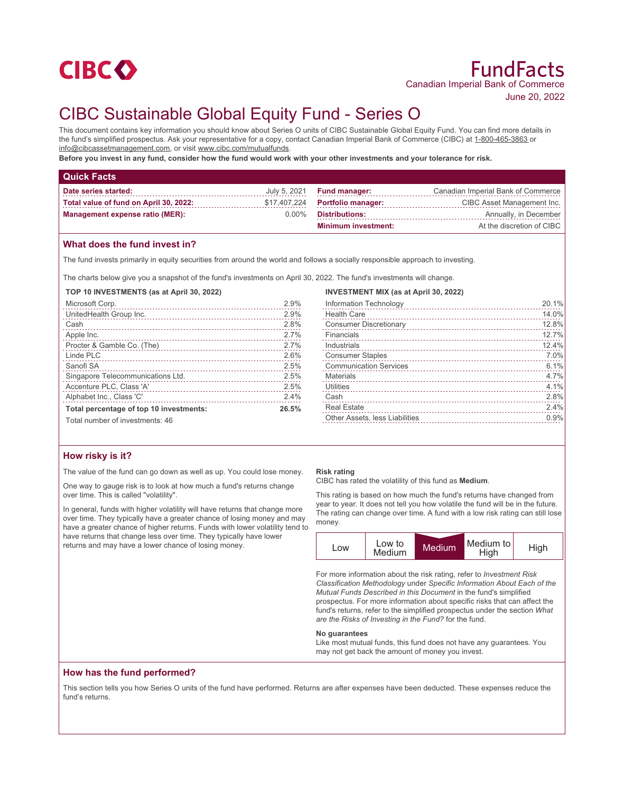

# CIBC Sustainable Global Equity Fund - Series O

This document contains key information you should know about Series O units of CIBC Sustainable Global Equity Fund. You can find more details in the fund's simplified prospectus. Ask your representative for a copy, contact Canadian Imperial Bank of Commerce (CIBC) at 1-800-465-3863 or info@cibcassetmanagement.com, or visit www.cibc.com/mutualfunds.

**Before you invest in any fund, consider how the fund would work with your other investments and your tolerance for risk.**

| <b>Quick Facts</b>                     |          |                                   |                                    |
|----------------------------------------|----------|-----------------------------------|------------------------------------|
| Date series started:                   |          | July 5, 2021 <b>Fund manager:</b> | Canadian Imperial Bank of Commerce |
| Total value of fund on April 30, 2022: |          | $$17,407,224$ Portfolio manager:  | CIBC Asset Management Inc.         |
| <b>Management expense ratio (MER):</b> | $0.00\%$ | <b>Distributions:</b>             | Annually, in December              |
|                                        |          | <b>Minimum investment:</b>        | At the discretion of CIBC          |

## **What does the fund invest in?**

The fund invests primarily in equity securities from around the world and follows a socially responsible approach to investing.

The charts below give you a snapshot of the fund's investments on April 30, 2022. The fund's investments will change.

#### **TOP 10 INVESTMENTS (as at April 30, 2022)**

| Microsoft Corp.                         | 2.9%  |
|-----------------------------------------|-------|
| UnitedHealth Group Inc.                 | 2.9%  |
| Cash                                    | 2.8%  |
| Apple Inc.                              | 2.7%  |
|                                         | 2.7%  |
| Linde PLC                               | 2.6%  |
| Sanofi SA                               | 2.5%  |
| Singapore Telecommunications Ltd.       | 2.5%  |
| Accenture PLC, Class 'A'                | 2.5%  |
| Alphabet Inc., Class 'C'                | 2.4%  |
| Total percentage of top 10 investments: | 26.5% |
| Total number of investments: 46         |       |

#### **INVESTMENT MIX (as at April 30, 2022)**

| Information Technology         | 20.1% |
|--------------------------------|-------|
| <b>Health Care</b>             | 14.0% |
| <b>Consumer Discretionary</b>  | 12.8% |
| Financials                     | 12.7% |
| Industrials                    | 12.4% |
| <b>Consumer Staples</b>        | 7.0%  |
| <b>Communication Services</b>  | 6.1%  |
| Materials                      | 4.7%  |
| Utilities                      | 4.1%  |
| Cash                           | 2.8%  |
| <b>Real Estate</b>             | 2.4%  |
| Other Assets, less Liabilities | 0.9%  |
|                                |       |

## **How risky is it?**

The value of the fund can go down as well as up. You could lose money.

One way to gauge risk is to look at how much a fund's returns change over time. This is called "volatility".

In general, funds with higher volatility will have returns that change more over time. They typically have a greater chance of losing money and may have a greater chance of higher returns. Funds with lower volatility tend to have returns that change less over time. They typically have lower returns and may have a lower chance of losing money.

#### **Risk rating**

CIBC has rated the volatility of this fund as **Medium**.

This rating is based on how much the fund's returns have changed from year to year. It does not tell you how volatile the fund will be in the future. The rating can change over time. A fund with a low risk rating can still lose money.



For more information about the risk rating, refer to *Investment Risk Classification Methodology* under *Specific Information About Each of the Mutual Funds Described in this Document* in the fund's simplified prospectus. For more information about specific risks that can affect the fund's returns, refer to the simplified prospectus under the section *What are the Risks of Investing in the Fund?* for the fund.

#### **No guarantees**

Like most mutual funds, this fund does not have any guarantees. You may not get back the amount of money you invest.

## **How has the fund performed?**

This section tells you how Series O units of the fund have performed. Returns are after expenses have been deducted. These expenses reduce the fund's returns.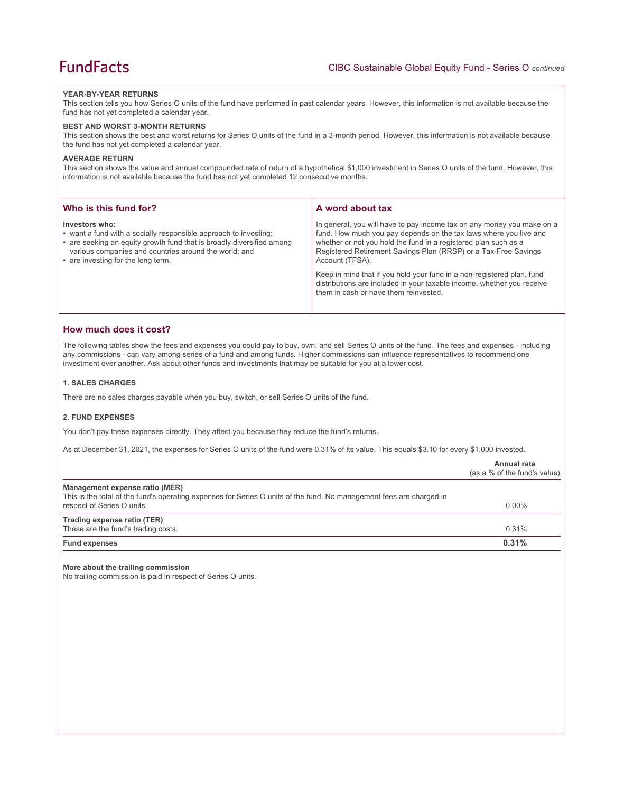#### **YEAR-BY-YEAR RETURNS**

This section tells you how Series O units of the fund have performed in past calendar years. However, this information is not available because the fund has not yet completed a calendar year.

#### **BEST AND WORST 3-MONTH RETURNS**

This section shows the best and worst returns for Series O units of the fund in a 3-month period. However, this information is not available because the fund has not yet completed a calendar year.

#### **AVERAGE RETURN**

This section shows the value and annual compounded rate of return of a hypothetical \$1,000 investment in Series O units of the fund. However, this information is not available because the fund has not yet completed 12 consecutive months.

| Who is this fund for?                                                                                                                                                                                                                                      | A word about tax                                                                                                                                                                                                                                                                                     |
|------------------------------------------------------------------------------------------------------------------------------------------------------------------------------------------------------------------------------------------------------------|------------------------------------------------------------------------------------------------------------------------------------------------------------------------------------------------------------------------------------------------------------------------------------------------------|
| Investors who:<br>• want a fund with a socially responsible approach to investing;<br>• are seeking an equity growth fund that is broadly diversified among<br>various companies and countries around the world; and<br>• are investing for the long term. | In general, you will have to pay income tax on any money you make on a<br>fund. How much you pay depends on the tax laws where you live and<br>whether or not you hold the fund in a registered plan such as a<br>Registered Retirement Savings Plan (RRSP) or a Tax-Free Savings<br>Account (TFSA). |
|                                                                                                                                                                                                                                                            | Keep in mind that if you hold your fund in a non-registered plan, fund<br>distributions are included in your taxable income, whether you receive<br>them in cash or have them reinvested.                                                                                                            |

## **How much does it cost?**

The following tables show the fees and expenses you could pay to buy, own, and sell Series O units of the fund. The fees and expenses - including any commissions - can vary among series of a fund and among funds. Higher commissions can influence representatives to recommend one investment over another. Ask about other funds and investments that may be suitable for you at a lower cost.

#### **1. SALES CHARGES**

There are no sales charges payable when you buy, switch, or sell Series O units of the fund.

## **2. FUND EXPENSES**

You don't pay these expenses directly. They affect you because they reduce the fund's returns.

As at December 31, 2021, the expenses for Series O units of the fund were 0.31% of its value. This equals \$3.10 for every \$1,000 invested.

|                                                                                                                                                                                      | Annual rate<br>(as a % of the fund's value) |
|--------------------------------------------------------------------------------------------------------------------------------------------------------------------------------------|---------------------------------------------|
| Management expense ratio (MER)<br>This is the total of the fund's operating expenses for Series O units of the fund. No management fees are charged in<br>respect of Series O units. | $0.00\%$                                    |
| Trading expense ratio (TER)<br>These are the fund's trading costs.                                                                                                                   | 0.31%                                       |
| <b>Fund expenses</b>                                                                                                                                                                 | 0.31%                                       |

#### **More about the trailing commission**

No trailing commission is paid in respect of Series O units.